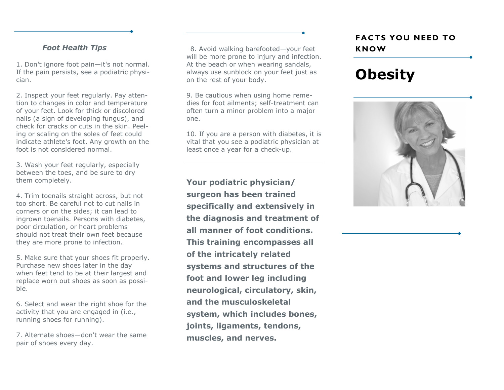#### *Foot Health Tips*

1. Don't ignore foot pain—it's not normal. If the pain persists, see a podiatric physician.

2. Inspect your feet regularly. Pay attention to changes in color and temperature of your feet. Look for thick or discolored nails (a sign of developing fungus), and check for cracks or cuts in the skin. Peeling or scaling on the soles of feet could indicate athlete's foot. Any growth on the foot is not considered normal.

3. Wash your feet regularly, especially between the toes, and be sure to dry them completely.

4. Trim toenails straight across, but not too short. Be careful not to cut nails in corners or on the sides; it can lead to ingrown toenails. Persons with diabetes, poor circulation, or heart problems should not treat their own feet because they are more prone to infection.

5. Make sure that your shoes fit properly. Purchase new shoes later in the day when feet tend to be at their largest and replace worn out shoes as soon as possible.

6. Select and wear the right shoe for the activity that you are engaged in (i.e., running shoes for running).

7. Alternate shoes—don't wear the same pair of shoes every day.

8. Avoid walking barefooted—your feet will be more prone to injury and infection. At the beach or when wearing sandals, always use sunblock on your feet just as on the rest of your body.

9. Be cautious when using home remedies for foot ailments; self-treatment can often turn a minor problem into a major one.

10. If you are a person with diabetes, it is vital that you see a podiatric physician at least once a year for a check-up.

**Your podiatric physician/ surgeon has been trained specifically and extensively in the diagnosis and treatment of all manner of foot conditions. This training encompasses all of the intricately related systems and structures of the foot and lower leg including neurological, circulatory, skin, and the musculoskeletal system, which includes bones, joints, ligaments, tendons, muscles, and nerves.** 

### **FACTS YOU NEED TO KNOW**

# **Obesity**